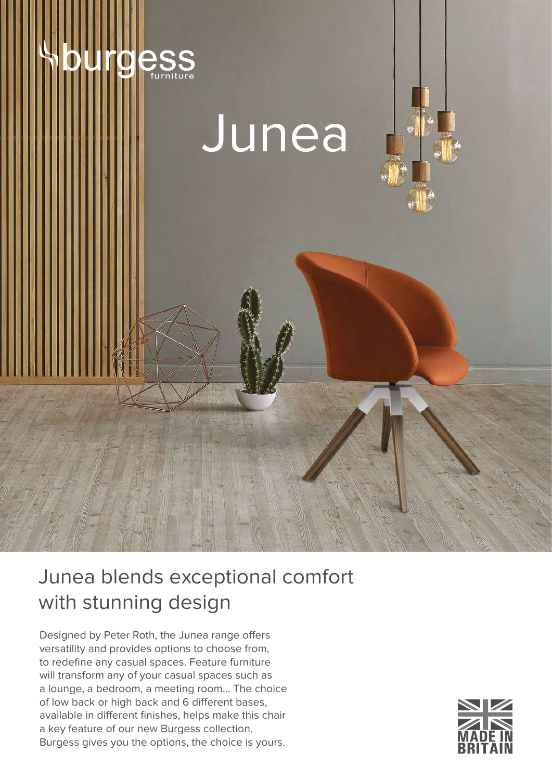



## Junea blends exceptional comfort with stunning design

Designed by Peter Roth, the Junea range offers versatility and provides options to choose from, to redefine any casual spaces. Feature furniture will transform any of your casual spaces such as a lounge, a bedroom, a meeting room… The choice of low back or high back and 6 different bases, available in different finishes, helps make this chair a key feature of our new Burgess collection. Burgess gives you the options, the choice is yours.